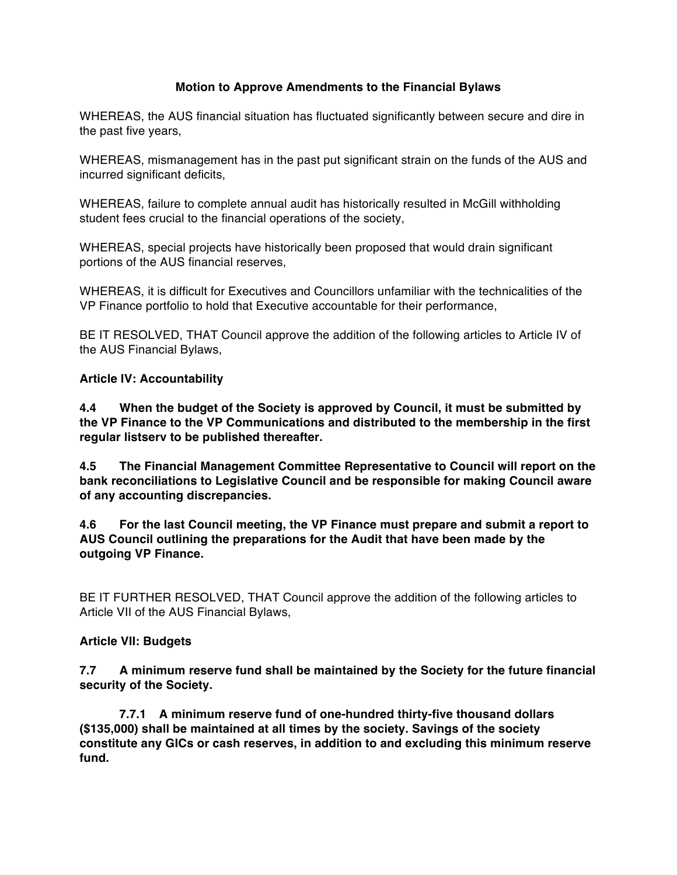## **Motion to Approve Amendments to the Financial Bylaws**

WHEREAS, the AUS financial situation has fluctuated significantly between secure and dire in the past five years,

WHEREAS, mismanagement has in the past put significant strain on the funds of the AUS and incurred significant deficits,

WHEREAS, failure to complete annual audit has historically resulted in McGill withholding student fees crucial to the financial operations of the society,

WHEREAS, special projects have historically been proposed that would drain significant portions of the AUS financial reserves,

WHEREAS, it is difficult for Executives and Councillors unfamiliar with the technicalities of the VP Finance portfolio to hold that Executive accountable for their performance,

BE IT RESOLVED, THAT Council approve the addition of the following articles to Article IV of the AUS Financial Bylaws,

## **Article IV: Accountability**

**4.4 When the budget of the Society is approved by Council, it must be submitted by the VP Finance to the VP Communications and distributed to the membership in the first regular listserv to be published thereafter.**

**4.5 The Financial Management Committee Representative to Council will report on the bank reconciliations to Legislative Council and be responsible for making Council aware of any accounting discrepancies.**

**4.6 For the last Council meeting, the VP Finance must prepare and submit a report to AUS Council outlining the preparations for the Audit that have been made by the outgoing VP Finance.**

BE IT FURTHER RESOLVED, THAT Council approve the addition of the following articles to Article VII of the AUS Financial Bylaws,

## **Article VII: Budgets**

**7.7 A minimum reserve fund shall be maintained by the Society for the future financial security of the Society.**

**7.7.1 A minimum reserve fund of one-hundred thirty-five thousand dollars (\$135,000) shall be maintained at all times by the society. Savings of the society constitute any GICs or cash reserves, in addition to and excluding this minimum reserve fund.**